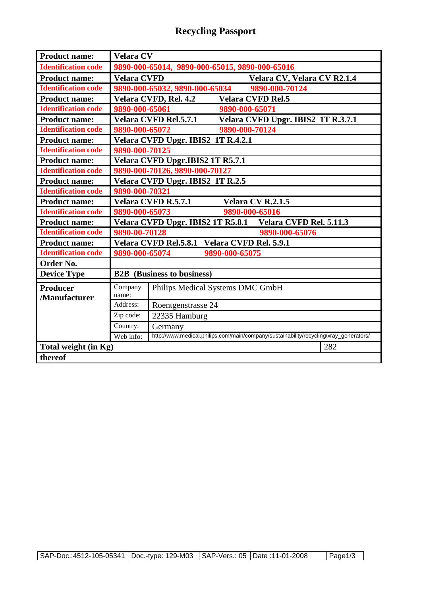| <b>Product name:</b>       | <b>Velara CV</b>                             |                                                                                       |  |  |  |
|----------------------------|----------------------------------------------|---------------------------------------------------------------------------------------|--|--|--|
| <b>Identification code</b> |                                              | 9890-000-65014, 9890-000-65015, 9890-000-65016                                        |  |  |  |
| <b>Product name:</b>       | <b>Velara CVFD</b>                           | Velara CV, Velara CV R2.1.4                                                           |  |  |  |
| <b>Identification code</b> |                                              | 9890-000-65032, 9890-000-65034<br>9890-000-70124                                      |  |  |  |
| <b>Product name:</b>       |                                              | Velara CVFD, Rel. 4.2<br><b>Velara CVFD Rel.5</b>                                     |  |  |  |
| <b>Identification code</b> | 9890-000-65061                               | 9890-000-65071                                                                        |  |  |  |
| <b>Product name:</b>       |                                              | Velara CVFD Rel.5.7.1<br>Velara CVFD Upgr. IBIS2 1T R.3.7.1                           |  |  |  |
| <b>Identification code</b> | 9890-000-65072                               | 9890-000-70124                                                                        |  |  |  |
| <b>Product name:</b>       | Velara CVFD Upgr. IBIS2 1T R.4.2.1           |                                                                                       |  |  |  |
| <b>Identification code</b> | 9890-000-70125                               |                                                                                       |  |  |  |
| <b>Product name:</b>       | Velara CVFD Upgr.IBIS2 1T R5.7.1             |                                                                                       |  |  |  |
| <b>Identification code</b> | 9890-000-70126, 9890-000-70127               |                                                                                       |  |  |  |
| <b>Product name:</b>       | Velara CVFD Upgr. IBIS2 1T R.2.5             |                                                                                       |  |  |  |
| <b>Identification code</b> | 9890-000-70321                               |                                                                                       |  |  |  |
| <b>Product name:</b>       | Velara CVFD R.5.7.1<br>Velara CV R.2.1.5     |                                                                                       |  |  |  |
| <b>Identification code</b> | 9890-000-65073<br>9890-000-65016             |                                                                                       |  |  |  |
| <b>Product name:</b>       |                                              | Velara CVFD Upgr. IBIS2 1T R5.8.1 Velara CVFD Rel. 5.11.3                             |  |  |  |
| <b>Identification code</b> | 9890-00-70128<br>9890-000-65076              |                                                                                       |  |  |  |
| <b>Product name:</b>       | Velara CVFD Rel.5.8.1 Velara CVFD Rel. 5.9.1 |                                                                                       |  |  |  |
| <b>Identification code</b> | 9890-000-65074                               | 9890-000-65075                                                                        |  |  |  |
| Order No.                  |                                              |                                                                                       |  |  |  |
| <b>Device Type</b>         | <b>B2B</b> (Business to business)            |                                                                                       |  |  |  |
| <b>Producer</b>            | Company                                      | Philips Medical Systems DMC GmbH                                                      |  |  |  |
| /Manufacturer              | name:                                        |                                                                                       |  |  |  |
|                            | Address:                                     | Roentgenstrasse 24                                                                    |  |  |  |
|                            | Zip code:                                    | 22335 Hamburg                                                                         |  |  |  |
|                            | Country:                                     | Germany                                                                               |  |  |  |
|                            | Web info:                                    | http://www.medical.philips.com/main/company/sustainability/recycling/xray_generators/ |  |  |  |
| Total weight (in Kg)       |                                              | 282                                                                                   |  |  |  |
| thereof                    |                                              |                                                                                       |  |  |  |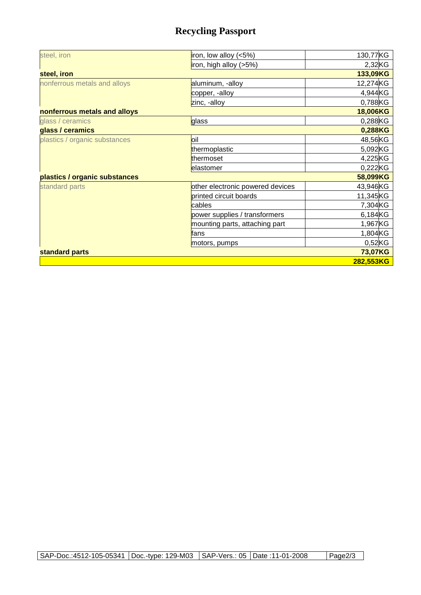## **Recycling Passport**

| steel, iron<br>$\frac{1}{2}$ iron, low alloy (<5%)<br>iron, high alloy (>5%)<br>steel, iron<br>nonferrous metals and alloys<br>aluminum, -alloy<br>copper, -alloy<br>zinc, -alloy<br>nonferrous metals and alloys<br>glass / ceramics<br>glass<br>glass / ceramics<br>plastics / organic substances<br>loil<br>thermoplastic<br>thermoset<br>elastomer<br>plastics / organic substances<br>standard parts<br>other electronic powered devices<br>printed circuit boards<br>cables |                               |                      |
|-----------------------------------------------------------------------------------------------------------------------------------------------------------------------------------------------------------------------------------------------------------------------------------------------------------------------------------------------------------------------------------------------------------------------------------------------------------------------------------|-------------------------------|----------------------|
|                                                                                                                                                                                                                                                                                                                                                                                                                                                                                   |                               | 130,77KG             |
|                                                                                                                                                                                                                                                                                                                                                                                                                                                                                   |                               | $2,32$ <sub>KG</sub> |
|                                                                                                                                                                                                                                                                                                                                                                                                                                                                                   |                               | 133,09KG             |
|                                                                                                                                                                                                                                                                                                                                                                                                                                                                                   |                               | 12,274KG             |
|                                                                                                                                                                                                                                                                                                                                                                                                                                                                                   |                               | 4,944KG              |
|                                                                                                                                                                                                                                                                                                                                                                                                                                                                                   |                               | 0,788KG              |
|                                                                                                                                                                                                                                                                                                                                                                                                                                                                                   |                               | 18,006KG             |
|                                                                                                                                                                                                                                                                                                                                                                                                                                                                                   |                               | 0,288KG              |
|                                                                                                                                                                                                                                                                                                                                                                                                                                                                                   |                               | 0,288KG              |
|                                                                                                                                                                                                                                                                                                                                                                                                                                                                                   |                               | 48,56KG              |
|                                                                                                                                                                                                                                                                                                                                                                                                                                                                                   |                               | 5,092KG              |
|                                                                                                                                                                                                                                                                                                                                                                                                                                                                                   |                               | 4,225KG              |
|                                                                                                                                                                                                                                                                                                                                                                                                                                                                                   |                               | 0,222KG              |
|                                                                                                                                                                                                                                                                                                                                                                                                                                                                                   |                               | 58,099KG             |
|                                                                                                                                                                                                                                                                                                                                                                                                                                                                                   |                               | 43,946KG             |
|                                                                                                                                                                                                                                                                                                                                                                                                                                                                                   |                               | 11,345KG             |
|                                                                                                                                                                                                                                                                                                                                                                                                                                                                                   |                               | 7,304KG              |
|                                                                                                                                                                                                                                                                                                                                                                                                                                                                                   | power supplies / transformers | 6,184KG              |
| mounting parts, attaching part                                                                                                                                                                                                                                                                                                                                                                                                                                                    |                               | 1,967KG              |
| fans                                                                                                                                                                                                                                                                                                                                                                                                                                                                              |                               | 1,804KG              |
| motors, pumps                                                                                                                                                                                                                                                                                                                                                                                                                                                                     |                               | $0,52$ KG            |
| standard parts                                                                                                                                                                                                                                                                                                                                                                                                                                                                    |                               | 73,07KG              |
|                                                                                                                                                                                                                                                                                                                                                                                                                                                                                   |                               | 282,553KG            |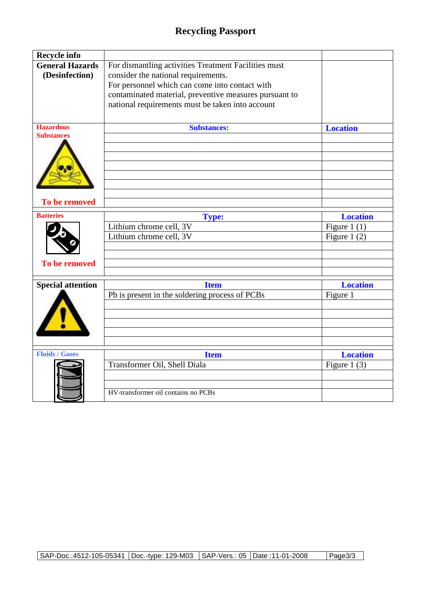## **Recycling Passport**

| <b>Recycle info</b>                      |                                                                                                                                                                                                                                                             |                 |
|------------------------------------------|-------------------------------------------------------------------------------------------------------------------------------------------------------------------------------------------------------------------------------------------------------------|-----------------|
| <b>General Hazards</b><br>(Desinfection) | For dismantling activities Treatment Facilities must<br>consider the national requirements.<br>For personnel which can come into contact with<br>contaminated material, preventive measures pursuant to<br>national requirements must be taken into account |                 |
| <b>Hazardous</b><br><b>Substances</b>    | <b>Substances:</b>                                                                                                                                                                                                                                          | <b>Location</b> |
| To be removed                            |                                                                                                                                                                                                                                                             |                 |
| <b>Batteries</b>                         | <b>Type:</b>                                                                                                                                                                                                                                                | <b>Location</b> |
|                                          | Lithium chrome cell, 3V                                                                                                                                                                                                                                     | Figure 1 $(1)$  |
|                                          | Lithium chrome cell, 3V                                                                                                                                                                                                                                     | Figure 1 $(2)$  |
|                                          |                                                                                                                                                                                                                                                             |                 |
| To be removed                            |                                                                                                                                                                                                                                                             |                 |
|                                          |                                                                                                                                                                                                                                                             |                 |
| <b>Special attention</b>                 | <b>Item</b>                                                                                                                                                                                                                                                 | <b>Location</b> |
|                                          | Pb is present in the soldering process of PCBs                                                                                                                                                                                                              | Figure 1        |
|                                          |                                                                                                                                                                                                                                                             |                 |
|                                          |                                                                                                                                                                                                                                                             |                 |
|                                          |                                                                                                                                                                                                                                                             |                 |
|                                          |                                                                                                                                                                                                                                                             |                 |
| <b>Fluids / Gases</b>                    | <b>Item</b>                                                                                                                                                                                                                                                 | <b>Location</b> |
|                                          | Transformer Oil, Shell Diala                                                                                                                                                                                                                                | Figure 1 $(3)$  |
|                                          |                                                                                                                                                                                                                                                             |                 |
|                                          | HV-transformer oil contains no PCBs                                                                                                                                                                                                                         |                 |
|                                          |                                                                                                                                                                                                                                                             |                 |